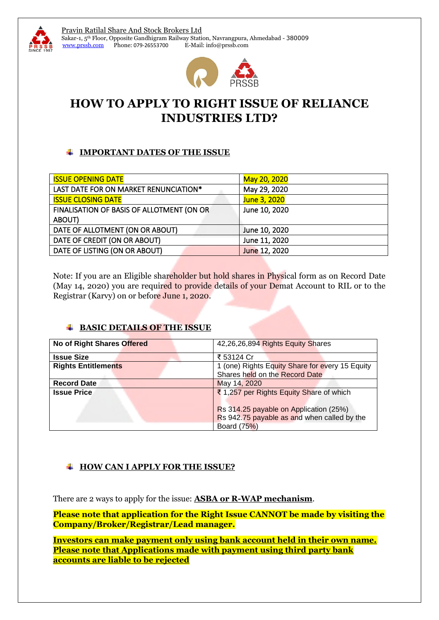

# **HOW TO APPLY TO RIGHT ISSUE OF RELIANCE INDUSTRIES LTD?**

### **IMPORTANT DATES OF THE ISSUE**

| <b>ISSUE OPENING DATE</b>                 | May 20, 2020  |
|-------------------------------------------|---------------|
| LAST DATE FOR ON MARKET RENUNCIATION*     | May 29, 2020  |
| <b>ISSUE CLOSING DATE</b>                 | June 3, 2020  |
| FINALISATION OF BASIS OF ALLOTMENT (ON OR | June 10, 2020 |
| ABOUT)                                    |               |
| DATE OF ALLOTMENT (ON OR ABOUT)           | June 10, 2020 |
| DATE OF CREDIT (ON OR ABOUT)              | June 11, 2020 |
| DATE OF LISTING (ON OR ABOUT)             | June 12, 2020 |
|                                           |               |

Note: If you are an Eligible shareholder but hold shares in Physical form as on Record Date (May 14, 2020) you are required to provide details of your Demat Account to RIL or to the Registrar (Karvy) on or before June 1, 2020.

# **BASIC DETAILS OF THE ISSUE**

| No of Right Shares Offered | 42,26,26,894 Rights Equity Shares                                                                                                 |  |
|----------------------------|-----------------------------------------------------------------------------------------------------------------------------------|--|
| <b>Issue Size</b>          | ₹ 53124 Cr                                                                                                                        |  |
| <b>Rights Entitlements</b> | 1 (one) Rights Equity Share for every 15 Equity                                                                                   |  |
|                            | Shares held on the Record Date                                                                                                    |  |
| <b>Record Date</b>         | May 14, 2020                                                                                                                      |  |
| <b>Issue Price</b>         | ₹ 1,257 per Rights Equity Share of which<br>Rs 314.25 payable on Application (25%)<br>Rs 942.75 payable as and when called by the |  |
|                            | Board (75%)                                                                                                                       |  |

# **HOW CAN I APPLY FOR THE ISSUE?**

There are 2 ways to apply for the issue: **ASBA or R-WAP mechanism**.

**Please note that application for the Right Issue CANNOT be made by visiting the Company/Broker/Registrar/Lead manager.**

**Investors can make payment only using bank account held in their own name. Please note that Applications made with payment using third party bank accounts are liable to be rejected**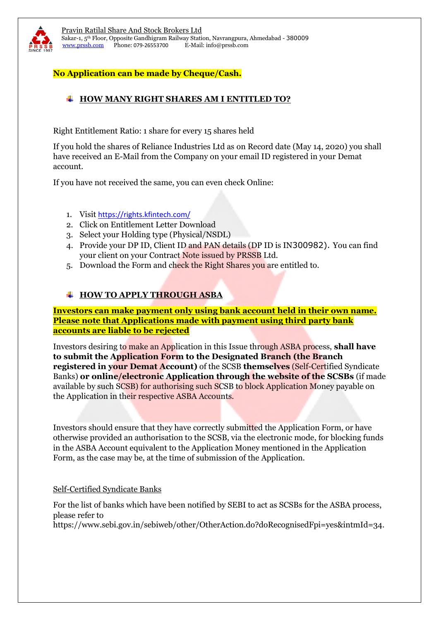

### **No Application can be made by Cheque/Cash.**

## **HOW MANY RIGHT SHARES AM I ENTITLED TO?**

Right Entitlement Ratio: 1 share for every 15 shares held

If you hold the shares of Reliance Industries Ltd as on Record date (May 14, 2020) you shall have received an E-Mail from the Company on your email ID registered in your Demat account.

If you have not received the same, you can even check Online:

- 1. Visit <https://rights.kfintech.com/>
- 2. Click on Entitlement Letter Download
- 3. Select your Holding type (Physical/NSDL)
- 4. Provide your DP ID, Client ID and PAN details (DP ID is IN300982). You can find your client on your Contract Note issued by PRSSB Ltd.
- 5. Download the Form and check the Right Shares you are entitled to.

### **HOW TO APPLY THROUGH ASBA**

**Investors can make payment only using bank account held in their own name. Please note that Applications made with payment using third party bank accounts are liable to be rejected**

Investors desiring to make an Application in this Issue through ASBA process, **shall have to submit the Application Form to the Designated Branch (the Branch registered in your Demat Account)** of the SCSB **themselves** (Self-Certified Syndicate Banks) **or online/electronic Application through the website of the SCSBs** (if made available by such SCSB) for authorising such SCSB to block Application Money payable on the Application in their respective ASBA Accounts.

Investors should ensure that they have correctly submitted the Application Form, or have otherwise provided an authorisation to the SCSB, via the electronic mode, for blocking funds in the ASBA Account equivalent to the Application Money mentioned in the Application Form, as the case may be, at the time of submission of the Application.

### Self-Certified Syndicate Banks

For the list of banks which have been notified by SEBI to act as SCSBs for the ASBA process, please refer to

https://www.sebi.gov.in/sebiweb/other/OtherAction.do?doRecognisedFpi=yes&intmId=34.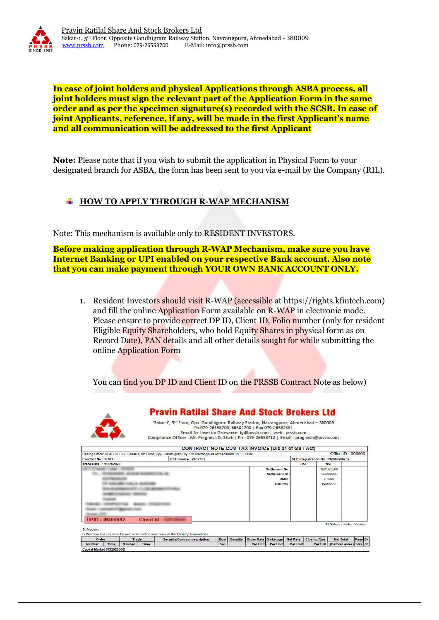

**In case of joint holders and physical Applications through ASBA process, all joint holders must sign the relevant part of the Application Form in the same order and as per the specimen signature(s) recorded with the SCSB. In case of joint Applicants, reference, if any, will be made in the first Applicant's name and all communication will be addressed to the first Applicant**

**Note:** Please note that if you wish to submit the application in Physical Form to your designated branch for ASBA, the form has been sent to you via e-mail by the Company (RIL).

#### **HOW TO APPLY THROUGH R-WAP MECHANISM** ┹

Note: This mechanism is available only to RESIDENT INVESTORS.

**Before making application through R-WAP Mechanism, make sure you have Internet Banking or UPI enabled on your respective Bank account. Also note that you can make payment through YOUR OWN BANK ACCOUNT ONLY.**

1. Resident Investors should visit R-WAP (accessible at https://rights.kfintech.com) and fill the online Application Form available on R-WAP in electronic mode. Please ensure to provide correct DP ID, Client ID, Folio number (only for resident Eligible Equity Shareholders, who hold Equity Shares in physical form as on Record Date), PAN details and all other details sought for while submitting the online Application Form

You can find you DP ID and Client ID on the PRSSB Contract Note as below)



Order Trade<br>Number Time Number Time

Capital Market [NS2020088]

**Pravin Ratilal Share And Stock Brokers Ltd** 

"Sakar-I", 5th Floor, Opp. Gandhigram Railway Station, Nayrangpura, Ahmedabad - 380009 Ph:079-26553700, 66302700 | Fax:079-26582331 Email for Investor Grievance: ig@prssb.com | web : prssb.com Compliance Officer : Mr. Pragnesh D. Shah | Ph : 079-26553712 | Email : pragnesh@prssb.com

Gross Rate Brokerage Net Rate Closing Rate

Per Unit

**Per Unit** 

Net Total

Per Unit (Before Levies) arks ch

| Office ID: 000000<br>Dealing Office: HEAD OFFICE Sakar-1, 5th Floor, Opp. Gandhigram Rly. Stn.Navrangpura Ahmedabad PIN: 380009 |                              |                      |            |                                    |  |  |
|---------------------------------------------------------------------------------------------------------------------------------|------------------------------|----------------------|------------|------------------------------------|--|--|
| Contract No: 17701                                                                                                              | <b>GST Invoice: 24/17492</b> |                      |            | SEBI Registration No: INZ000206732 |  |  |
| Trade Date : 11/05/2020                                                                                                         |                              |                      | <b>BSE</b> | <b>NSE</b>                         |  |  |
|                                                                                                                                 |                              | <b>Settlement No</b> |            | <b>NS2020088</b>                   |  |  |
|                                                                                                                                 |                              | Settlement Dt        |            | 12/05/2020                         |  |  |
|                                                                                                                                 |                              | <b>CMID</b>          |            | 07589                              |  |  |
|                                                                                                                                 |                              | <b>CMBPID</b>        |            | IN555633                           |  |  |
|                                                                                                                                 |                              |                      |            |                                    |  |  |
|                                                                                                                                 |                              |                      |            |                                    |  |  |
|                                                                                                                                 |                              |                      |            |                                    |  |  |
|                                                                                                                                 |                              |                      |            |                                    |  |  |
|                                                                                                                                 |                              |                      |            |                                    |  |  |
|                                                                                                                                 |                              |                      |            |                                    |  |  |
| <b>DPID: IN300982</b>                                                                                                           | <b>Client Id</b>             |                      |            |                                    |  |  |
|                                                                                                                                 |                              |                      |            | All Values in Indian Rupees.       |  |  |

Quantity

Security/Contract descript